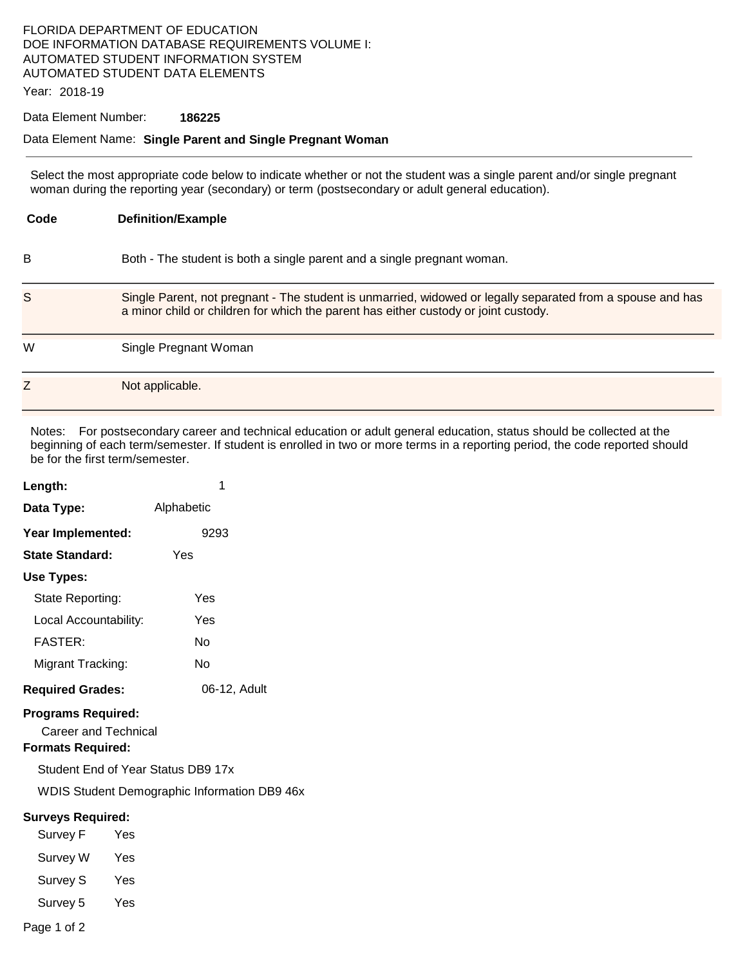### FLORIDA DEPARTMENT OF EDUCATION DOE INFORMATION DATABASE REQUIREMENTS VOLUME I: AUTOMATED STUDENT INFORMATION SYSTEM AUTOMATED STUDENT DATA ELEMENTS

Year: 2018-19

### Data Element Number: **186225**

#### Data Element Name: **Single Parent and Single Pregnant Woman**

Select the most appropriate code below to indicate whether or not the student was a single parent and/or single pregnant woman during the reporting year (secondary) or term (postsecondary or adult general education).

| Code | <b>Definition/Example</b>                                                                                                                                                                         |
|------|---------------------------------------------------------------------------------------------------------------------------------------------------------------------------------------------------|
| в    | Both - The student is both a single parent and a single pregnant woman.                                                                                                                           |
| S    | Single Parent, not pregnant - The student is unmarried, widowed or legally separated from a spouse and has<br>a minor child or children for which the parent has either custody or joint custody. |
| W    | Single Pregnant Woman                                                                                                                                                                             |
| Ζ    | Not applicable.                                                                                                                                                                                   |

Notes: For postsecondary career and technical education or adult general education, status should be collected at the beginning of each term/semester. If student is enrolled in two or more terms in a reporting period, the code reported should be for the first term/semester.

| Length:                                                                       | 1            |  |  |  |
|-------------------------------------------------------------------------------|--------------|--|--|--|
| Data Type:                                                                    | Alphabetic   |  |  |  |
| Year Implemented:                                                             | 9293         |  |  |  |
| <b>State Standard:</b>                                                        | Yes          |  |  |  |
| Use Types:                                                                    |              |  |  |  |
| State Reporting:                                                              | Yes          |  |  |  |
| Local Accountability:                                                         | Yes          |  |  |  |
| <b>FASTER:</b>                                                                | No           |  |  |  |
| Migrant Tracking:                                                             | No           |  |  |  |
| <b>Required Grades:</b>                                                       | 06-12, Adult |  |  |  |
| <b>Programs Required:</b><br>Career and Technical<br><b>Formats Required:</b> |              |  |  |  |
| Student End of Year Status DB9 17x                                            |              |  |  |  |
| <b>WDIS Student Demographic Information DB9 46x</b>                           |              |  |  |  |
| <b>Surveys Required:</b>                                                      |              |  |  |  |
| Survey F                                                                      | Yes          |  |  |  |
| Survey W Yes                                                                  |              |  |  |  |
| Survey S                                                                      | Yes          |  |  |  |
| Survey 5                                                                      | Yes          |  |  |  |
| Page 1 of 2                                                                   |              |  |  |  |